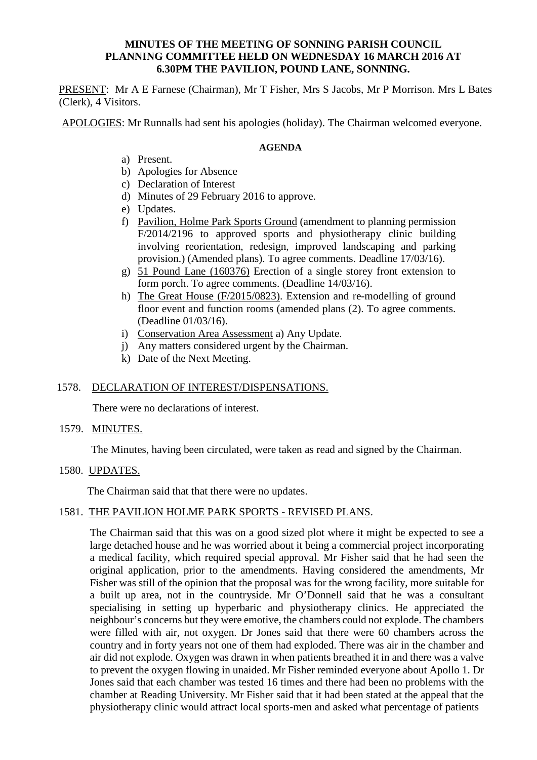# **MINUTES OF THE MEETING OF SONNING PARISH COUNCIL PLANNING COMMITTEE HELD ON WEDNESDAY 16 MARCH 2016 AT 6.30PM THE PAVILION, POUND LANE, SONNING.**

PRESENT: Mr A E Farnese (Chairman), Mr T Fisher, Mrs S Jacobs, Mr P Morrison. Mrs L Bates (Clerk), 4 Visitors.

APOLOGIES: Mr Runnalls had sent his apologies (holiday). The Chairman welcomed everyone.

# **AGENDA**

- a) Present.
- b) Apologies for Absence
- c) Declaration of Interest
- d) Minutes of 29 February 2016 to approve.
- e) Updates.
- f) Pavilion, Holme Park Sports Ground (amendment to planning permission F/2014/2196 to approved sports and physiotherapy clinic building involving reorientation, redesign, improved landscaping and parking provision.) (Amended plans). To agree comments. Deadline 17/03/16).
- g) 51 Pound Lane (160376) Erection of a single storey front extension to form porch. To agree comments. (Deadline 14/03/16).
- h) The Great House (F/2015/0823). Extension and re-modelling of ground floor event and function rooms (amended plans (2). To agree comments. (Deadline 01/03/16).
- i) Conservation Area Assessment a) Any Update.
- j) Any matters considered urgent by the Chairman.
- k) Date of the Next Meeting.

# 1578. DECLARATION OF INTEREST/DISPENSATIONS.

There were no declarations of interest.

# 1579. MINUTES.

The Minutes, having been circulated, were taken as read and signed by the Chairman.

1580. UPDATES.

The Chairman said that that there were no updates.

# 1581. THE PAVILION HOLME PARK SPORTS - REVISED PLANS.

The Chairman said that this was on a good sized plot where it might be expected to see a large detached house and he was worried about it being a commercial project incorporating a medical facility, which required special approval. Mr Fisher said that he had seen the original application, prior to the amendments. Having considered the amendments, Mr Fisher was still of the opinion that the proposal was for the wrong facility, more suitable for a built up area, not in the countryside. Mr O'Donnell said that he was a consultant specialising in setting up hyperbaric and physiotherapy clinics. He appreciated the neighbour's concerns but they were emotive, the chambers could not explode. The chambers were filled with air, not oxygen. Dr Jones said that there were 60 chambers across the country and in forty years not one of them had exploded. There was air in the chamber and air did not explode. Oxygen was drawn in when patients breathed it in and there was a valve to prevent the oxygen flowing in unaided. Mr Fisher reminded everyone about Apollo 1. Dr Jones said that each chamber was tested 16 times and there had been no problems with the chamber at Reading University. Mr Fisher said that it had been stated at the appeal that the physiotherapy clinic would attract local sports-men and asked what percentage of patients